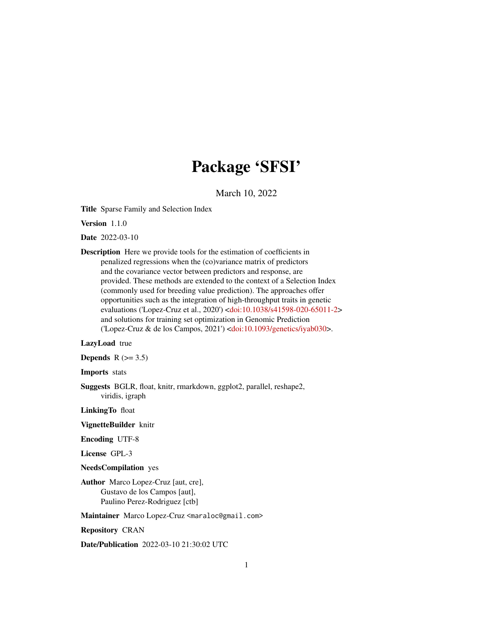# Package 'SFSI'

March 10, 2022

Title Sparse Family and Selection Index

Version 1.1.0

Date 2022-03-10

Description Here we provide tools for the estimation of coefficients in penalized regressions when the (co)variance matrix of predictors and the covariance vector between predictors and response, are provided. These methods are extended to the context of a Selection Index (commonly used for breeding value prediction). The approaches offer opportunities such as the integration of high-throughput traits in genetic evaluations ('Lopez-Cruz et al., 2020') [<doi:10.1038/s41598-020-65011-2>](https://doi.org/10.1038/s41598-020-65011-2) and solutions for training set optimization in Genomic Prediction ('Lopez-Cruz & de los Campos, 2021') [<doi:10.1093/genetics/iyab030>](https://doi.org/10.1093/genetics/iyab030).

# LazyLoad true

Depends  $R$  ( $>= 3.5$ )

Imports stats

Suggests BGLR, float, knitr, rmarkdown, ggplot2, parallel, reshape2, viridis, igraph

LinkingTo float

VignetteBuilder knitr

Encoding UTF-8

License GPL-3

NeedsCompilation yes

Author Marco Lopez-Cruz [aut, cre], Gustavo de los Campos [aut], Paulino Perez-Rodriguez [ctb]

Maintainer Marco Lopez-Cruz <maraloc@gmail.com>

Repository CRAN

Date/Publication 2022-03-10 21:30:02 UTC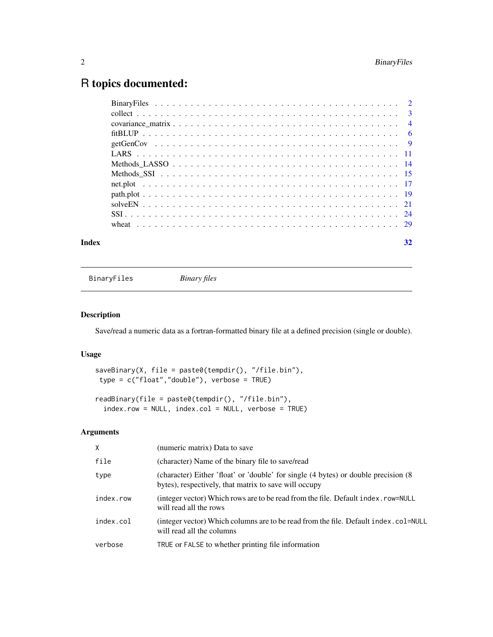# <span id="page-1-0"></span>R topics documented:

| Index | 32 |
|-------|----|
|       |    |

BinaryFiles *Binary files*

# Description

Save/read a numeric data as a fortran-formatted binary file at a defined precision (single or double).

# Usage

```
saveBinary(X, file = paste0(tempdir(), "/file.bin"),
type = c("float","double"), verbose = TRUE)
```

```
readBinary(file = paste0(tempdir(), "/file.bin"),
 index.row = NULL, index.col = NULL, verbose = TRUE)
```
# Arguments

| X         | (numeric matrix) Data to save                                                                                                               |
|-----------|---------------------------------------------------------------------------------------------------------------------------------------------|
| file      | (character) Name of the binary file to save/read                                                                                            |
| type      | (character) Either 'float' or 'double' for single (4 bytes) or double precision (8<br>bytes), respectively, that matrix to save will occupy |
| index.row | (integer vector) Which rows are to be read from the file. Default index. row=NULL<br>will read all the rows                                 |
| index.col | (integer vector) Which columns are to be read from the file. Default index.col=NULL<br>will read all the columns                            |
| verbose   | TRUE or FALSE to whether printing file information                                                                                          |
|           |                                                                                                                                             |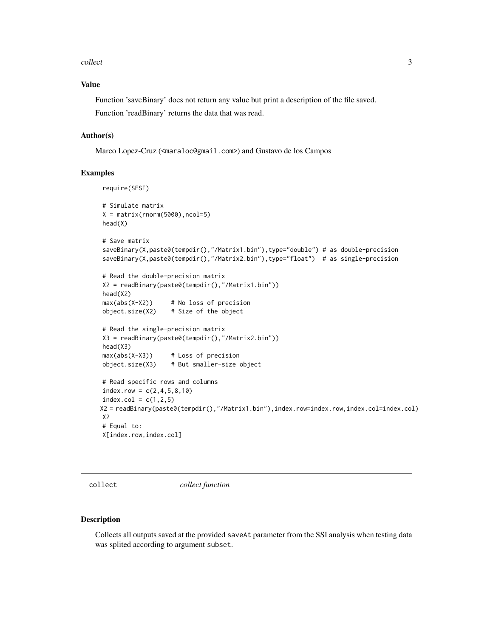### <span id="page-2-0"></span>collect 3

# Value

Function 'saveBinary' does not return any value but print a description of the file saved. Function 'readBinary' returns the data that was read.

# Author(s)

Marco Lopez-Cruz (<maraloc@gmail.com>) and Gustavo de los Campos

# Examples

```
require(SFSI)
# Simulate matrix
X = matrix(rnorm(5000), ncol=5)head(X)
# Save matrix
saveBinary(X,paste0(tempdir(),"/Matrix1.bin"),type="double") # as double-precision
saveBinary(X,paste0(tempdir(),"/Matrix2.bin"),type="float") # as single-precision
# Read the double-precision matrix
X2 = readBinary(paste0(tempdir(),"/Matrix1.bin"))
head(X2)
max(abs(X-X2)) # No loss of precision
object.size(X2) # Size of the object
# Read the single-precision matrix
X3 = readBinary(paste0(tempdir(),"/Matrix2.bin"))
head(X3)
max(abs(X-X3)) # Loss of precision
object.size(X3) # But smaller-size object
# Read specific rows and columns
indexrow = c(2, 4, 5, 8, 10)index.col = c(1,2,5)X2 = readBinary(paste0(tempdir(),"/Matrix1.bin"),index.row=index.row,index.col=index.col)
X2
# Equal to:
X[index.row,index.col]
```
collect *collect function*

# Description

Collects all outputs saved at the provided saveAt parameter from the SSI analysis when testing data was splited according to argument subset.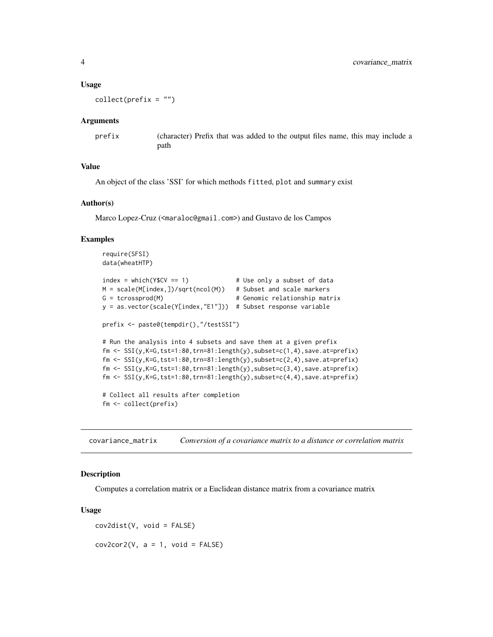# <span id="page-3-0"></span>Usage

 $collect(prefix = "")$ 

# Arguments

prefix (character) Prefix that was added to the output files name, this may include a path

# Value

An object of the class 'SSI' for which methods fitted, plot and summary exist

# Author(s)

Marco Lopez-Cruz (<maraloc@gmail.com>) and Gustavo de los Campos

# Examples

```
require(SFSI)
data(wheatHTP)
index = which(YSCV == 1) # Use only a subset of data
M = scale(M[index, ])/sqrt(ncol(M)) # Subset and scale markers
G = tcrossprod(M) \# Genomic relationship matrix
y = as.vector(scale(Y[index,"E1"])) # Subset response variable
prefix <- paste0(tempdir(),"/testSSI")
# Run the analysis into 4 subsets and save them at a given prefix
fm \leftarrow \text{SSI}(y,K=6,tst=1:80,trn=81:length(y),subset=cc(1,4),save.at=prefix)fm \leftarrow \text{SSI}(y,K=G,\text{tst}=1:80,\text{trn}=81:\text{length}(y),\text{subsett}=c(2,4),\text{save}.\text{at}=prefix)fm \leftarrow \text{SSI}(y,K=G,\text{tst=1:80},\text{trn=81:length}(y),\text{subsett=c(3,4)},\text{save}.\text{at=prefix)}fm \leftarrow \text{SSI}(y,K=G,tst=1:80,trn=81:length(y),subset=cc(4,4),save.at=prefix)# Collect all results after completion
fm <- collect(prefix)
```
covariance\_matrix *Conversion of a covariance matrix to a distance or correlation matrix*

# Description

Computes a correlation matrix or a Euclidean distance matrix from a covariance matrix

### Usage

cov2dist(V, void = FALSE)  $cov2cor2(V, a = 1, void = FALSE)$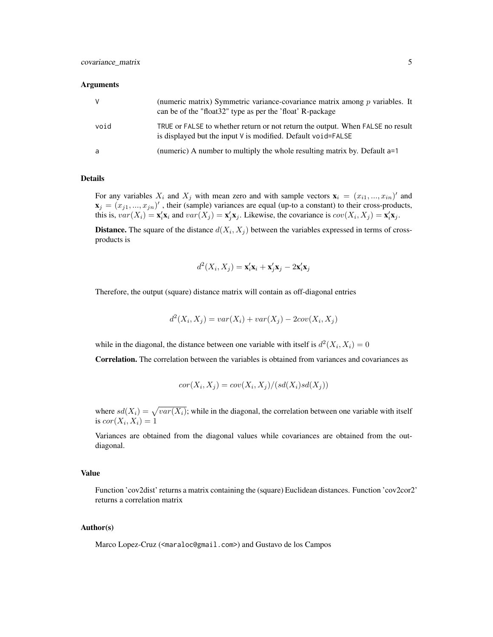# **Arguments**

| V <sub>-</sub> | (numeric matrix) Symmetric variance-covariance matrix among $p$ variables. It<br>can be of the "float 32" type as per the 'float' R-package      |
|----------------|--------------------------------------------------------------------------------------------------------------------------------------------------|
| void           | TRUE or FALSE to whether return or not return the output. When FALSE no result<br>is displayed but the input $V$ is modified. Default void=FALSE |
| a              | (numeric) A number to multiply the whole resulting matrix by. Default a=1                                                                        |

# Details

For any variables  $X_i$  and  $X_j$  with mean zero and with sample vectors  $\mathbf{x}_i = (x_{i1},...,x_{in})'$  and  $\mathbf{x}_j = (x_{j1},...,x_{jn})'$ , their (sample) variances are equal (up-to a constant) to their cross-products, this is,  $var(X_i) = \mathbf{x}_i' \mathbf{x}_i$  and  $var(X_j) = \mathbf{x}_j' \mathbf{x}_j$ . Likewise, the covariance is  $cov(X_i, X_j) = \mathbf{x}_i' \mathbf{x}_j$ .

**Distance.** The square of the distance  $d(X_i, X_j)$  between the variables expressed in terms of crossproducts is

$$
d^2(X_i, X_j) = \mathbf{x}_i' \mathbf{x}_i + \mathbf{x}_j' \mathbf{x}_j - 2\mathbf{x}_i' \mathbf{x}_j
$$

Therefore, the output (square) distance matrix will contain as off-diagonal entries

$$
d^{2}(X_{i}, X_{j}) = var(X_{i}) + var(X_{j}) - 2cov(X_{i}, X_{j})
$$

while in the diagonal, the distance between one variable with itself is  $d^2(X_i, X_i) = 0$ 

Correlation. The correlation between the variables is obtained from variances and covariances as

$$
cor(X_i, X_j) = cov(X_i, X_j)/(sd(X_i)sd(X_j))
$$

where  $sd(X_i) = \sqrt{var(X_i)}$ ; while in the diagonal, the correlation between one variable with itself is  $cor(X_i, X_i) = 1$ 

Variances are obtained from the diagonal values while covariances are obtained from the outdiagonal.

# Value

Function 'cov2dist' returns a matrix containing the (square) Euclidean distances. Function 'cov2cor2' returns a correlation matrix

# Author(s)

Marco Lopez-Cruz (<maraloc@gmail.com>) and Gustavo de los Campos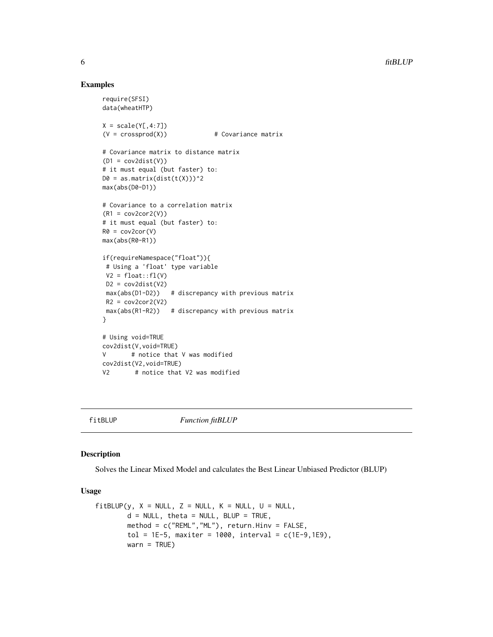# Examples

```
require(SFSI)
data(wheatHTP)
X = scale(Y[, 4:7])(V = crossprod(X)) # Covariance matrix
# Covariance matrix to distance matrix
(D1 = cov2dist(V))# it must equal (but faster) to:
D0 = as.matrix(dist(t(X)))^2max(abs(D0-D1))
# Covariance to a correlation matrix
(R1 = cov2cor2(V))# it must equal (but faster) to:
R0 = cov2cor(V)max(abs(R0-R1))
if(requireNamespace("float")){
# Using a 'float' type variable
V2 = float::f1(V)D2 = cov2dist(V2)max(abs(D1-D2)) # discrepancy with previous matrix
R2 = cov2cor2(V2)max(abs(R1-R2)) # discrepancy with previous matrix
}
# Using void=TRUE
cov2dist(V,void=TRUE)
V # notice that V was modified
cov2dist(V2,void=TRUE)
V2 # notice that V2 was modified
```
fitBLUP *Function fitBLUP*

# Description

Solves the Linear Mixed Model and calculates the Best Linear Unbiased Predictor (BLUP)

# Usage

```
fitBLUP(y, X = NULL, Z = NULL, K = NULL, U = NULL,d = NULL, theta = NULL, BLUP = TRUE,
       method = c("REML","ML"), return.Hinv = FALSE,
       tol = 1E-5, maxiter = 1000, interval = c(1E-9, 1E9),
       warn = TRUE)
```
<span id="page-5-0"></span>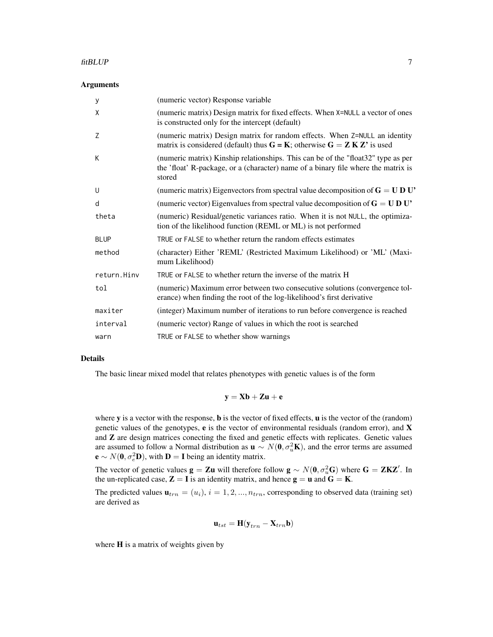## fitBLUP 7

# **Arguments**

| У           | (numeric vector) Response variable                                                                                                                                              |
|-------------|---------------------------------------------------------------------------------------------------------------------------------------------------------------------------------|
| X           | (numeric matrix) Design matrix for fixed effects. When X=NULL a vector of ones<br>is constructed only for the intercept (default)                                               |
| Z           | (numeric matrix) Design matrix for random effects. When Z=NULL an identity<br>matrix is considered (default) thus $G = K$ ; otherwise $G = Z K Z'$ is used                      |
| К           | (numeric matrix) Kinship relationships. This can be of the "float32" type as per<br>the 'float' R-package, or a (character) name of a binary file where the matrix is<br>stored |
| U           | (numeric matrix) Eigenvectors from spectral value decomposition of $G = U D U'$                                                                                                 |
| d           | (numeric vector) Eigenvalues from spectral value decomposition of $G = U D U'$                                                                                                  |
| theta       | (numeric) Residual/genetic variances ratio. When it is not NULL, the optimiza-<br>tion of the likelihood function (REML or ML) is not performed                                 |
| <b>BLUP</b> | TRUE or FALSE to whether return the random effects estimates                                                                                                                    |
| method      | (character) Either 'REML' (Restricted Maximum Likelihood) or 'ML' (Maxi-<br>mum Likelihood)                                                                                     |
| return.Hinv | TRUE or FALSE to whether return the inverse of the matrix H                                                                                                                     |
| tol         | (numeric) Maximum error between two consecutive solutions (convergence tol-<br>erance) when finding the root of the log-likelihood's first derivative                           |
| maxiter     | (integer) Maximum number of iterations to run before convergence is reached                                                                                                     |
| interval    | (numeric vector) Range of values in which the root is searched                                                                                                                  |
| warn        | TRUE or FALSE to whether show warnings                                                                                                                                          |

# Details

The basic linear mixed model that relates phenotypes with genetic values is of the form

$$
\mathbf{y} = \mathbf{X}\mathbf{b} + \mathbf{Z}\mathbf{u} + \mathbf{e}
$$

where  $y$  is a vector with the response,  $\bf{b}$  is the vector of fixed effects,  $\bf{u}$  is the vector of the (random) genetic values of the genotypes, e is the vector of environmental residuals (random error), and X and Z are design matrices conecting the fixed and genetic effects with replicates. Genetic values are assumed to follow a Normal distribution as  $\mathbf{u} \sim N(\mathbf{0}, \sigma_u^2 \mathbf{K})$ , and the error terms are assumed  $\mathbf{e} \sim N(\mathbf{0}, \sigma_e^2 \mathbf{D})$ , with  $\mathbf{D} = \mathbf{I}$  being an identity matrix.

The vector of genetic values  $\mathbf{g} = \mathbf{Z} \mathbf{u}$  will therefore follow  $\mathbf{g} \sim N(\mathbf{0}, \sigma_u^2 \mathbf{G})$  where  $\mathbf{G} = \mathbf{Z} \mathbf{K} \mathbf{Z}'$ . In the un-replicated case,  $\mathbf{Z} = \mathbf{I}$  is an identity matrix, and hence  $\mathbf{g} = \mathbf{u}$  and  $\mathbf{G} = \mathbf{K}$ .

The predicted values  $\mathbf{u}_{trn} = (u_i), i = 1, 2, ..., n_{trn}$ , corresponding to observed data (training set) are derived as

$$
\mathbf{u}_{tst} = \mathbf{H}(\mathbf{y}_{trn} - \mathbf{X}_{trn}\mathbf{b})
$$

where **H** is a matrix of weights given by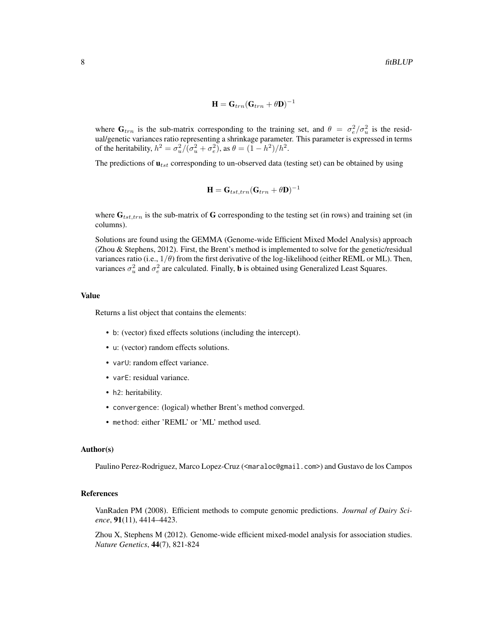$$
\mathbf{H} = \mathbf{G}_{trn}(\mathbf{G}_{trn} + \theta \mathbf{D})^{-1}
$$

where  $G_{trn}$  is the sub-matrix corresponding to the training set, and  $\theta = \sigma_e^2/\sigma_u^2$  is the residual/genetic variances ratio representing a shrinkage parameter. This parameter is expressed in terms of the heritability,  $h^2 = \sigma_u^2/(\sigma_u^2 + \sigma_e^2)$ , as  $\theta = (1 - h^2)/h^2$ .

The predictions of  $\mathbf{u}_{tst}$  corresponding to un-observed data (testing set) can be obtained by using

$$
\mathbf{H} = \mathbf{G}_{tst,trn}(\mathbf{G}_{trn} + \theta \mathbf{D})^{-1}
$$

where  $G_{tst,trn}$  is the sub-matrix of G corresponding to the testing set (in rows) and training set (in columns).

Solutions are found using the GEMMA (Genome-wide Efficient Mixed Model Analysis) approach (Zhou & Stephens, 2012). First, the Brent's method is implemented to solve for the genetic/residual variances ratio (i.e.,  $1/\theta$ ) from the first derivative of the log-likelihood (either REML or ML). Then, variances  $\sigma_u^2$  and  $\sigma_e^2$  are calculated. Finally, **b** is obtained using Generalized Least Squares.

# Value

Returns a list object that contains the elements:

- b: (vector) fixed effects solutions (including the intercept).
- u: (vector) random effects solutions.
- varU: random effect variance.
- varE: residual variance.
- h2: heritability.
- convergence: (logical) whether Brent's method converged.
- method: either 'REML' or 'ML' method used.

#### Author(s)

Paulino Perez-Rodriguez, Marco Lopez-Cruz (<maraloc@gmail.com>) and Gustavo de los Campos

# References

VanRaden PM (2008). Efficient methods to compute genomic predictions. *Journal of Dairy Science*, 91(11), 4414–4423.

Zhou X, Stephens M (2012). Genome-wide efficient mixed-model analysis for association studies. *Nature Genetics*, 44(7), 821-824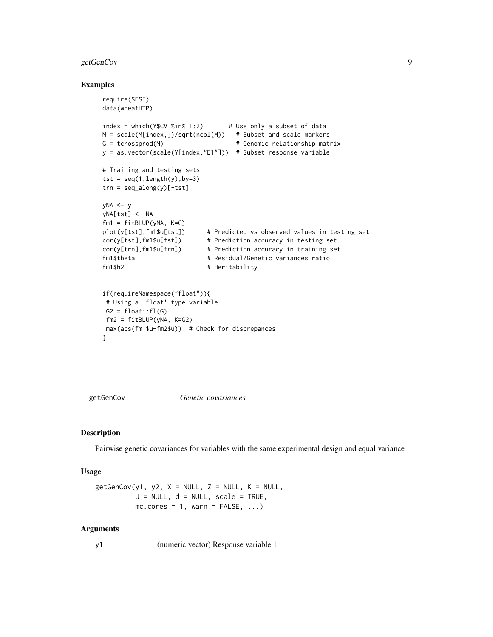# <span id="page-8-0"></span>getGenCov 9

# Examples

```
require(SFSI)
data(wheatHTP)
index = which(YSCV % in % 1:2) # Use only a subset of data
M = scale(M[index,])/sqrt(ncol(M)) # Subset and scale markers
G = tcrossprod(M) \# Genomic relationship matrix
y = as.vector(scale(Y[index,"E1"])) # Subset response variable
# Training and testing sets
tst = seq(1, length(y), by=3)trn = seq_along(y)[-tst]
yNA \le yyNA[tst] <- NA
fm1 = fitBLUP(vNA, K=G)plot(y[tst],fm1$u[tst]) # Predicted vs observed values in testing set
cor(y[tst],fm1$u[tst]) # Prediction accuracy in testing set
cor(y[trn],fm1$u[trn]) # Prediction accuracy in training set
fm1$theta # Residual/Genetic variances ratio
fm1$h2 # Heritability
if(requireNamespace("float")){
# Using a 'float' type variable
G2 = float::f1(G)fm2 = fitBLUP(yNA, K=G2)
max(abs(fm1$u-fm2$u)) # Check for discrepances
}
```
getGenCov *Genetic covariances*

# Description

Pairwise genetic covariances for variables with the same experimental design and equal variance

# Usage

 $getGenCov(y1, y2, X = NULL, Z = NULL, K = NULL,$  $U = NULL$ ,  $d = NULL$ , scale = TRUE,  $mc.core = 1$ , warn = FALSE, ...)

#### **Arguments**

y1 (numeric vector) Response variable 1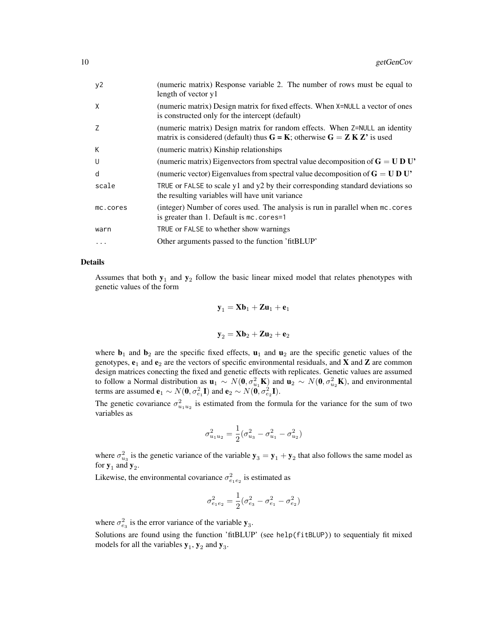| (numeric matrix) Response variable 2. The number of rows must be equal to<br>length of vector y1                                                           |
|------------------------------------------------------------------------------------------------------------------------------------------------------------|
| (numeric matrix) Design matrix for fixed effects. When X=NULL a vector of ones<br>is constructed only for the intercept (default)                          |
| (numeric matrix) Design matrix for random effects. When Z=NULL an identity<br>matrix is considered (default) thus $G = K$ ; otherwise $G = Z K Z'$ is used |
| (numeric matrix) Kinship relationships                                                                                                                     |
| (numeric matrix) Eigenvectors from spectral value decomposition of $G = U D U'$                                                                            |
| (numeric vector) Eigenvalues from spectral value decomposition of $G = U D U'$                                                                             |
| TRUE or FALSE to scale y1 and y2 by their corresponding standard deviations so<br>the resulting variables will have unit variance                          |
| (integer) Number of cores used. The analysis is run in parallel when mc.cores<br>is greater than 1. Default is mc. cores=1                                 |
| TRUE or FALSE to whether show warnings                                                                                                                     |
| Other arguments passed to the function 'fitBLUP'                                                                                                           |
|                                                                                                                                                            |

# Details

Assumes that both  $y_1$  and  $y_2$  follow the basic linear mixed model that relates phenotypes with genetic values of the form

$$
\mathbf{y}_1 = \mathbf{X} \mathbf{b}_1 + \mathbf{Z} \mathbf{u}_1 + \mathbf{e}_1
$$

$$
\mathbf{y}_2 = \mathbf{X} \mathbf{b}_2 + \mathbf{Z} \mathbf{u}_2 + \mathbf{e}_2
$$

where  $\mathbf{b}_1$  and  $\mathbf{b}_2$  are the specific fixed effects,  $\mathbf{u}_1$  and  $\mathbf{u}_2$  are the specific genetic values of the genotypes,  $e_1$  and  $e_2$  are the vectors of specific environmental residuals, and **X** and **Z** are common design matrices conecting the fixed and genetic effects with replicates. Genetic values are assumed to follow a Normal distribution as  $\mathbf{u}_1 \sim N(\mathbf{0}, \sigma_{u_1}^2 \mathbf{K})$  and  $\mathbf{u}_2 \sim N(\mathbf{0}, \sigma_{u_2}^2 \mathbf{K})$ , and environmental terms are assumed  $\mathbf{e}_1 \sim N(\mathbf{0}, \sigma_{e_1}^2 \mathbf{I})$  and  $\mathbf{e}_2 \sim N(\mathbf{0}, \sigma_{e_2}^2 \mathbf{I}).$ 

The genetic covariance  $\sigma_{u_1u_2}^2$  is estimated from the formula for the variance for the sum of two variables as

$$
\sigma^2_{u_1u_2}=\frac{1}{2}(\sigma^2_{u_3}-\sigma^2_{u_1}-\sigma^2_{u_2})
$$

where  $\sigma_{u_3}^2$  is the genetic variance of the variable  $y_3 = y_1 + y_2$  that also follows the same model as for  $y_1$  and  $y_2$ .

Likewise, the environmental covariance  $\sigma_{e_1e_2}^2$  is estimated as

$$
\sigma_{e_1 e_2}^2 = \frac{1}{2} (\sigma_{e_3}^2 - \sigma_{e_1}^2 - \sigma_{e_2}^2)
$$

where  $\sigma_{e_3}^2$  is the error variance of the variable  $y_3$ .

Solutions are found using the function 'fitBLUP' (see help(fitBLUP)) to sequentialy fit mixed models for all the variables  $y_1$ ,  $y_2$  and  $y_3$ .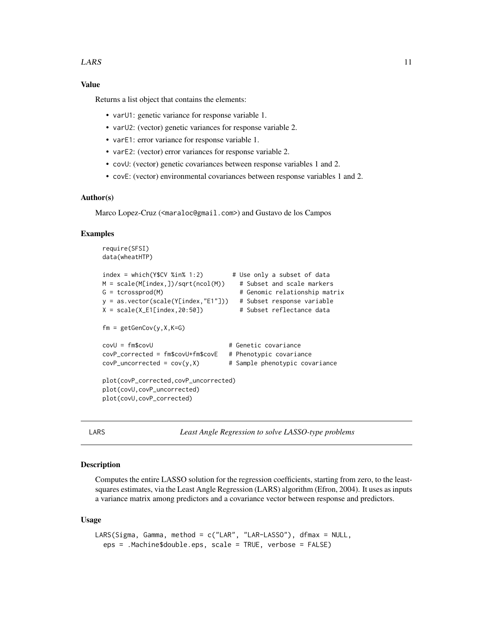# <span id="page-10-0"></span>Value

Returns a list object that contains the elements:

- varU1: genetic variance for response variable 1.
- varU2: (vector) genetic variances for response variable 2.
- varE1: error variance for response variable 1.
- varE2: (vector) error variances for response variable 2.
- covU: (vector) genetic covariances between response variables 1 and 2.
- covE: (vector) environmental covariances between response variables 1 and 2.

# Author(s)

Marco Lopez-Cruz (<maraloc@gmail.com>) and Gustavo de los Campos

# Examples

```
require(SFSI)
data(wheatHTP)
index = which(Y$CV %in% 1:2) # Use only a subset of data
M = scale(M[index,])/sqrt(ncol(M)) # Subset and scale markers
G = tcrossprod(M) \# Genomic relationship matrix
y = as.vector(scale(Y[index,"E1"])) # Subset response variable
X = scale(X_E1[index,20:50]) # Subset reflectance data
fm = getGenCov(y,X,K=G)
covU = fm$covU # Genetic covariance
covP_corrected = fm$covU+fm$covE # Phenotypic covariance
covP\_uncorrected = cov(y, X) # Sample phenotypic covariance
plot(covP_corrected,covP_uncorrected)
plot(covU,covP_uncorrected)
plot(covU,covP_corrected)
```
LARS *Least Angle Regression to solve LASSO-type problems*

# Description

Computes the entire LASSO solution for the regression coefficients, starting from zero, to the leastsquares estimates, via the Least Angle Regression (LARS) algorithm (Efron, 2004). It uses as inputs a variance matrix among predictors and a covariance vector between response and predictors.

#### Usage

```
LARS(Sigma, Gamma, method = c("LAR", "LAR-LASSO"), dfmax = NULL,
  eps = .Machine$double.eps, scale = TRUE, verbose = FALSE)
```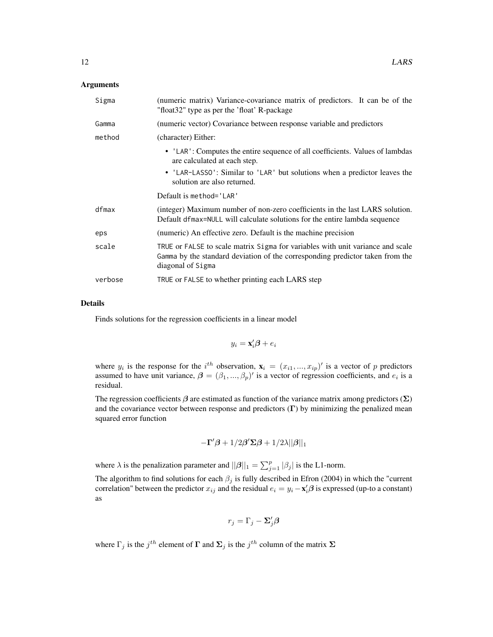# Arguments

| Sigma   | (numeric matrix) Variance-covariance matrix of predictors. It can be of the<br>"float32" type as per the 'float' R-package                                                                |
|---------|-------------------------------------------------------------------------------------------------------------------------------------------------------------------------------------------|
| Gamma   | (numeric vector) Covariance between response variable and predictors                                                                                                                      |
| method  | (character) Either:                                                                                                                                                                       |
|         | • 'LAR': Computes the entire sequence of all coefficients. Values of lambdas<br>are calculated at each step.<br>• 'LAR-LASSO': Similar to 'LAR' but solutions when a predictor leaves the |
|         | solution are also returned.                                                                                                                                                               |
|         | Default is method='LAR'                                                                                                                                                                   |
| dfmax   | (integer) Maximum number of non-zero coefficients in the last LARS solution.<br>Default dfmax=NULL will calculate solutions for the entire lambda sequence                                |
| eps     | (numeric) An effective zero. Default is the machine precision                                                                                                                             |
| scale   | TRUE or FALSE to scale matrix Sigma for variables with unit variance and scale<br>Gamma by the standard deviation of the corresponding predictor taken from the<br>diagonal of Sigma      |
| verbose | TRUE or FALSE to whether printing each LARS step                                                                                                                                          |

# Details

Finds solutions for the regression coefficients in a linear model

$$
y_i = \mathbf{x}_i'\boldsymbol{\beta} + e_i
$$

where  $y_i$  is the response for the i<sup>th</sup> observation,  $\mathbf{x}_i = (x_{i1},...,x_{ip})'$  is a vector of p predictors assumed to have unit variance,  $\boldsymbol{\beta} = (\beta_1, ..., \beta_p)'$  is a vector of regression coefficients, and  $e_i$  is a residual.

The regression coefficients  $\beta$  are estimated as function of the variance matrix among predictors ( $\Sigma$ ) and the covariance vector between response and predictors  $(Γ)$  by minimizing the penalized mean squared error function

$$
-\boldsymbol{\Gamma}'\boldsymbol{\beta}+1/2\boldsymbol{\beta}'\boldsymbol{\Sigma}\boldsymbol{\beta}+1/2\boldsymbol{\lambda}||\boldsymbol{\beta}||_1
$$

where  $\lambda$  is the penalization parameter and  $||\boldsymbol{\beta}||_1 = \sum_{j=1}^p |\beta_j|$  is the L1-norm.

The algorithm to find solutions for each  $\beta_j$  is fully described in Efron (2004) in which the "current correlation" between the predictor  $x_{ij}$  and the residual  $e_i = y_i - \mathbf{x}'_i \boldsymbol{\beta}$  is expressed (up-to a constant) as

$$
r_j = \Gamma_j - \Sigma'_j \boldsymbol{\beta}
$$

where  $\Gamma_j$  is the  $j^{th}$  element of  $\Gamma$  and  $\Sigma_j$  is the  $j^{th}$  column of the matrix  $\Sigma$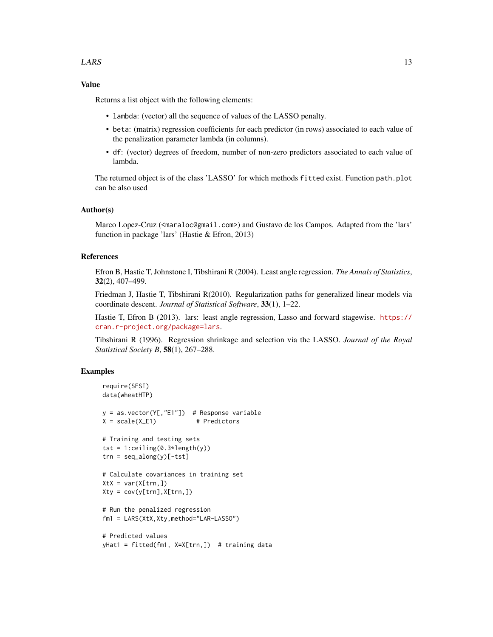# $LARS$  13

# Value

Returns a list object with the following elements:

- lambda: (vector) all the sequence of values of the LASSO penalty.
- beta: (matrix) regression coefficients for each predictor (in rows) associated to each value of the penalization parameter lambda (in columns).
- df: (vector) degrees of freedom, number of non-zero predictors associated to each value of lambda.

The returned object is of the class 'LASSO' for which methods fitted exist. Function path.plot can be also used

# Author(s)

Marco Lopez-Cruz (<maraloc@gmail.com>) and Gustavo de los Campos. Adapted from the 'lars' function in package 'lars' (Hastie & Efron, 2013)

# References

Efron B, Hastie T, Johnstone I, Tibshirani R (2004). Least angle regression. *The Annals of Statistics*, 32(2), 407–499.

Friedman J, Hastie T, Tibshirani R(2010). Regularization paths for generalized linear models via coordinate descent. *Journal of Statistical Software*, 33(1), 1–22.

Hastie T, Efron B (2013). lars: least angle regression, Lasso and forward stagewise. [https://](https://cran.r-project.org/package=lars) [cran.r-project.org/package=lars](https://cran.r-project.org/package=lars).

Tibshirani R (1996). Regression shrinkage and selection via the LASSO. *Journal of the Royal Statistical Society B*, 58(1), 267–288.

# Examples

```
require(SFSI)
data(wheatHTP)
y = as.vector(Y[,"E1"]) # Response variable
X = scale(X_E1) # Predictors
# Training and testing sets
tst = 1:ceiling(0.3 \star length(y))trn = seq_along(y)[-tst]
# Calculate covariances in training set
XtX = var(X[trn,])Xty = cov(y[trn], X[trn,])# Run the penalized regression
fm1 = LARS(XtX,Xty,method="LAR-LASSO")
# Predicted values
yHat1 = fitted(fm1, X=X[trn,]) # training data
```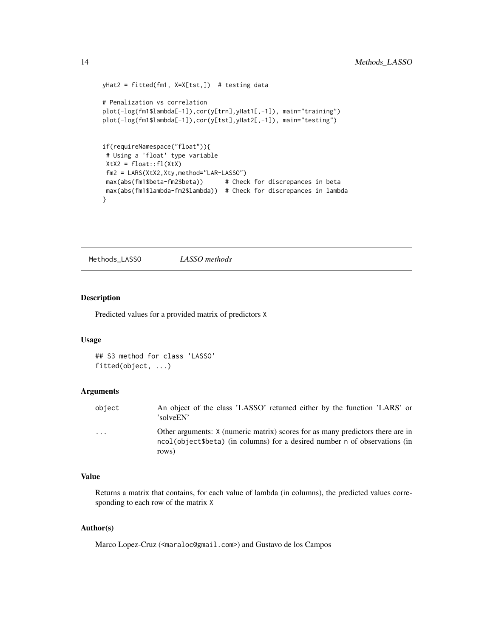```
yHat2 = fitted(fm1, X=X[tst,]) # testing data
# Penalization vs correlation
plot(-log(fm1$lambda[-1]),cor(y[trn],yHat1[,-1]), main="training")
plot(-log(fm1$lambda[-1]),cor(y[tst],yHat2[,-1]), main="testing")
if(requireNamespace("float")){
# Using a 'float' type variable
Xtx2 = float::f1(Xtx)fm2 = LARS(XtX2,Xty,method="LAR-LASSO")
max(abs(fm1$beta-fm2$beta)) # Check for discrepances in beta
max(abs(fm1$lambda-fm2$lambda)) # Check for discrepances in lambda
}
```
Methods\_LASSO *LASSO methods*

# Description

Predicted values for a provided matrix of predictors X

# Usage

## S3 method for class 'LASSO' fitted(object, ...)

# Arguments

| object | An object of the class 'LASSO' returned either by the function 'LARS' or<br>'solveEN'                                                                                 |
|--------|-----------------------------------------------------------------------------------------------------------------------------------------------------------------------|
| .      | Other arguments: X (numeric matrix) scores for as many predictors there are in<br>ncol(object\$beta) (in columns) for a desired number n of observations (in<br>rows) |

# Value

Returns a matrix that contains, for each value of lambda (in columns), the predicted values corresponding to each row of the matrix X

# Author(s)

Marco Lopez-Cruz (<maraloc@gmail.com>) and Gustavo de los Campos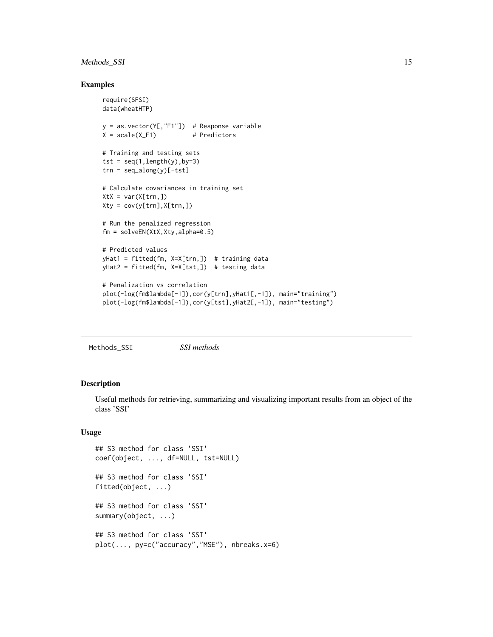# <span id="page-14-0"></span>Methods\_SSI 15

# Examples

```
require(SFSI)
data(wheatHTP)
y = as.vector(Y[,"E1"]) # Response variable
X = scale(X_E1) # Predictors
# Training and testing sets
tst = seq(1, length(y), by=3)trn = seq_along(y)[-tst]
# Calculate covariances in training set
XtX = var(X[trn,])Xty = cov(y[trn], X[trn,])# Run the penalized regression
fm = solveEN(XtX,Xty,alpha=0.5)
# Predicted values
yHat1 = fitted(fm, X=X[trn,]) # training data
yHat2 = fitted(fm, X=X[tst,]) # testing data
# Penalization vs correlation
plot(-log(fm$lambda[-1]),cor(y[trn],yHat1[,-1]), main="training")
plot(-log(fm$lambda[-1]),cor(y[tst],yHat2[,-1]), main="testing")
```
Methods\_SSI *SSI methods*

# Description

Useful methods for retrieving, summarizing and visualizing important results from an object of the class 'SSI'

# Usage

```
## S3 method for class 'SSI'
coef(object, ..., df=NULL, tst=NULL)
## S3 method for class 'SSI'
fitted(object, ...)
## S3 method for class 'SSI'
summary(object, ...)
## S3 method for class 'SSI'
plot(..., py=c("accuracy","MSE"), nbreaks.x=6)
```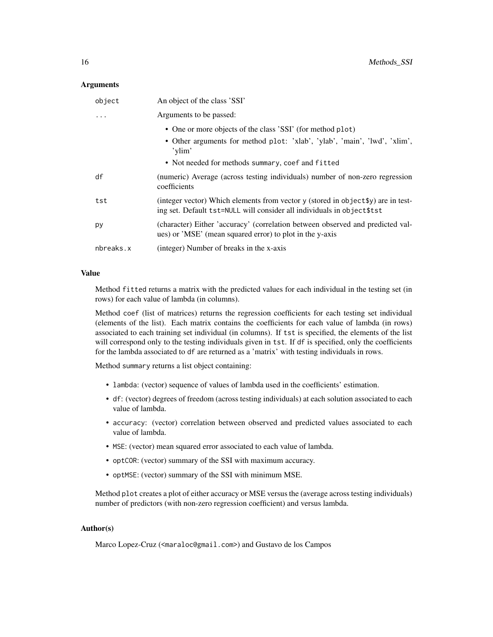# Arguments

| object    | An object of the class 'SSI'                                                                                                                                 |
|-----------|--------------------------------------------------------------------------------------------------------------------------------------------------------------|
|           | Arguments to be passed:                                                                                                                                      |
|           | • One or more objects of the class 'SSI' (for method plot)                                                                                                   |
|           | • Other arguments for method plot: 'xlab', 'ylab', 'main', 'lwd', 'xlim',<br>'ylim'                                                                          |
|           | • Not needed for methods summary, coef and fitted                                                                                                            |
| df        | (numeric) Average (across testing individuals) number of non-zero regression<br>coefficients                                                                 |
| tst       | (integer vector) Which elements from vector y (stored in object \$y) are in test-<br>ing set. Default tst=NULL will consider all individuals in object \$tst |
| py        | (character) Either 'accuracy' (correlation between observed and predicted val-<br>ues) or 'MSE' (mean squared error) to plot in the y-axis                   |
| nbreaks.x | (integer) Number of breaks in the x-axis                                                                                                                     |

# Value

Method fitted returns a matrix with the predicted values for each individual in the testing set (in rows) for each value of lambda (in columns).

Method coef (list of matrices) returns the regression coefficients for each testing set individual (elements of the list). Each matrix contains the coefficients for each value of lambda (in rows) associated to each training set individual (in columns). If tst is specified, the elements of the list will correspond only to the testing individuals given in tst. If df is specified, only the coefficients for the lambda associated to df are returned as a 'matrix' with testing individuals in rows.

Method summary returns a list object containing:

- lambda: (vector) sequence of values of lambda used in the coefficients' estimation.
- df: (vector) degrees of freedom (across testing individuals) at each solution associated to each value of lambda.
- accuracy: (vector) correlation between observed and predicted values associated to each value of lambda.
- MSE: (vector) mean squared error associated to each value of lambda.
- optCOR: (vector) summary of the SSI with maximum accuracy.
- optMSE: (vector) summary of the SSI with minimum MSE.

Method plot creates a plot of either accuracy or MSE versus the (average across testing individuals) number of predictors (with non-zero regression coefficient) and versus lambda.

# Author(s)

Marco Lopez-Cruz (<maraloc@gmail.com>) and Gustavo de los Campos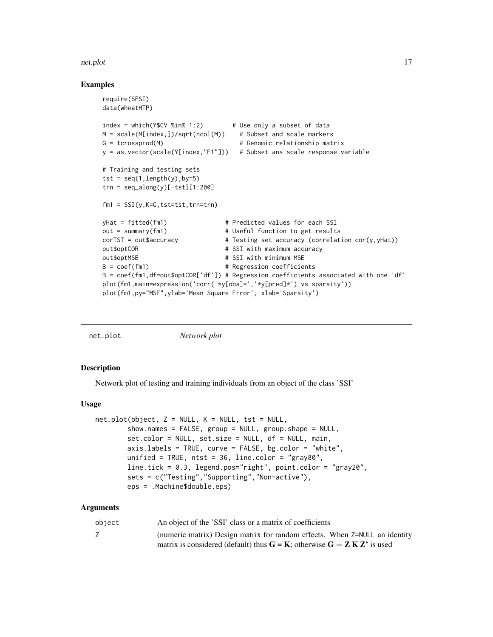# <span id="page-16-0"></span>net.plot 17

# Examples

```
require(SFSI)
data(wheatHTP)
index = which(Y$CV %in% 1:2) # Use only a subset of data
M = scale(M[index, ])/sqrt(ncol(M)) # Subset and scale markers
G = tcrossprod(M) \qquad # Genomic relationship matrix
y = as.vector(scale(Y[index,"E1"])) # Subset ans scale response variable
# Training and testing sets
tst = seq(1, length(y), by=5)trn = seq_along(y)[-tst][1:200]fm1 = SST(y,K=G,tst=tst,trn=trn)yHat = fitted(fm1) \qquad # Predicted values for each SSI
out = summary(fm1) \qquad # Useful function to get results
corTST = out$accuracy # Testing set accuracy (correlation cor(y,yHat))
out$optCOR # SSI with maximum accuracy
out$optMSE # SSI with minimum MSE
B = coef(fm1) \# Regression coefficients
B = coef(fm1,df=out$optCOR['df']) # Regression coefficients associated with one 'df'
plot(fm1,main=expression('corr('*y[obs]*','*y[pred]*') vs sparsity'))
plot(fm1,py="MSE",ylab='Mean Square Error', xlab='Sparsity')
```

| net.plot | Network plot |  |
|----------|--------------|--|
|          |              |  |

# Description

Network plot of testing and training individuals from an object of the class 'SSI'

# Usage

```
net.plot(object, Z = NULL, K = NULL, tst = NULL,show.names = FALSE, group = NULL, group.shape = NULL,
        set.color = NULL, set.size = NULL, df = NULL, main,
        axis.labels = TRUE, curve = FALSE, bg.color = "white",
        unified = TRUE, n \times t = 36, line.color = "gray80",
        line.tick = 0.3, legend.pos="right", point.color = "gray20",
        sets = c("Testing","Supporting","Non-active"),
        eps = .Machine$double.eps)
```
# Arguments

| object | An object of the 'SSI' class or a matrix of coefficients                       |
|--------|--------------------------------------------------------------------------------|
|        | (numeric matrix) Design matrix for random effects. When $Z = NULL$ an identity |
|        | matrix is considered (default) thus $G = K$ ; otherwise $G = Z K Z'$ is used   |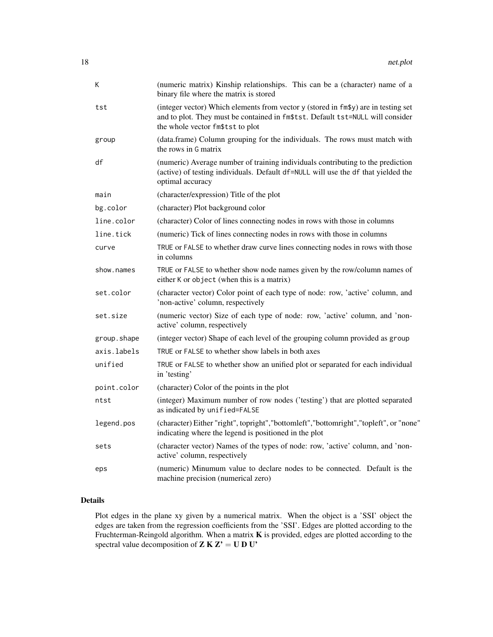| К           | (numeric matrix) Kinship relationships. This can be a (character) name of a<br>binary file where the matrix is stored                                                                                    |
|-------------|----------------------------------------------------------------------------------------------------------------------------------------------------------------------------------------------------------|
| tst         | (integer vector) Which elements from vector y (stored in fm\$y) are in testing set<br>and to plot. They must be contained in fm\$tst. Default tst=NULL will consider<br>the whole vector fm\$tst to plot |
| group       | (data.frame) Column grouping for the individuals. The rows must match with<br>the rows in G matrix                                                                                                       |
| df          | (numeric) Average number of training individuals contributing to the prediction<br>(active) of testing individuals. Default df=NULL will use the df that yielded the<br>optimal accuracy                 |
| main        | (character/expression) Title of the plot                                                                                                                                                                 |
| bg.color    | (character) Plot background color                                                                                                                                                                        |
| line.color  | (character) Color of lines connecting nodes in rows with those in columns                                                                                                                                |
| line.tick   | (numeric) Tick of lines connecting nodes in rows with those in columns                                                                                                                                   |
| curve       | TRUE or FALSE to whether draw curve lines connecting nodes in rows with those<br>in columns                                                                                                              |
| show.names  | TRUE or FALSE to whether show node names given by the row/column names of<br>either K or object (when this is a matrix)                                                                                  |
| set.color   | (character vector) Color point of each type of node: row, 'active' column, and<br>'non-active' column, respectively                                                                                      |
| set.size    | (numeric vector) Size of each type of node: row, 'active' column, and 'non-<br>active' column, respectively                                                                                              |
| group.shape | (integer vector) Shape of each level of the grouping column provided as group                                                                                                                            |
| axis.labels | TRUE or FALSE to whether show labels in both axes                                                                                                                                                        |
| unified     | TRUE or FALSE to whether show an unified plot or separated for each individual<br>in 'testing'                                                                                                           |
| point.color | (character) Color of the points in the plot                                                                                                                                                              |
| ntst        | (integer) Maximum number of row nodes ('testing') that are plotted separated<br>as indicated by unified=FALSE                                                                                            |
| legend.pos  | (character) Either "right", topright", "bottomleft", "bottomright", "topleft", or "none"<br>indicating where the legend is positioned in the plot                                                        |
| sets        | (character vector) Names of the types of node: row, 'active' column, and 'non-<br>active' column, respectively                                                                                           |
| eps         | (numeric) Minumum value to declare nodes to be connected. Default is the<br>machine precision (numerical zero)                                                                                           |

# Details

Plot edges in the plane xy given by a numerical matrix. When the object is a 'SSI' object the edges are taken from the regression coefficients from the 'SSI'. Edges are plotted according to the Fruchterman-Reingold algorithm. When a matrix  $K$  is provided, edges are plotted according to the spectral value decomposition of  $Z K Z' = U D U'$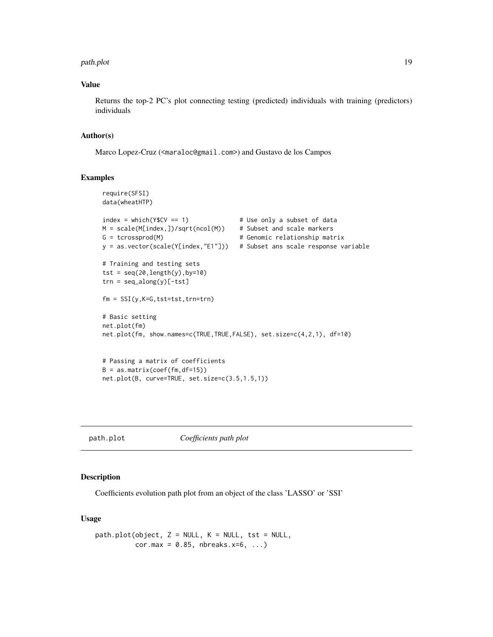### <span id="page-18-0"></span>path.plot the contract of the contract of the contract of the contract of the contract of the contract of the contract of the contract of the contract of the contract of the contract of the contract of the contract of the

# Value

Returns the top-2 PC's plot connecting testing (predicted) individuals with training (predictors) individuals

# Author(s)

Marco Lopez-Cruz (<maraloc@gmail.com>) and Gustavo de los Campos

# Examples

```
require(SFSI)
data(wheatHTP)
index = which(Y$CV == 1) # Use only a subset of data
M = scale(M[index, ])/sqrt(ncol(M)) # Subset and scale markers
G = tcrossprod(M) \# Genomic relationship matrix
y = as.vector(scale(Y[index,"E1"])) # Subset ans scale response variable
# Training and testing sets
tst = seq(20, length(y), by=10)trn = seq_along(y)[-tst]
fm = SST(y,K=G,tst=tst,trn=trn)# Basic setting
net.plot(fm)
net.plot(fm, show.names=c(TRUE,TRUE,FALSE), set.size=c(4,2,1), df=10)
# Passing a matrix of coefficients
B = as_matrix(coef(fm, df=15))net.plot(B, curve=TRUE, set.size=c(3.5,1.5,1))
```
path.plot *Coefficients path plot*

# Description

Coefficients evolution path plot from an object of the class 'LASSO' or 'SSI'

# Usage

```
path.plot(object, Z = NULL, K = NULL, tst = NULL,cor.max = 0.85, nbreaks.x=6, ...)
```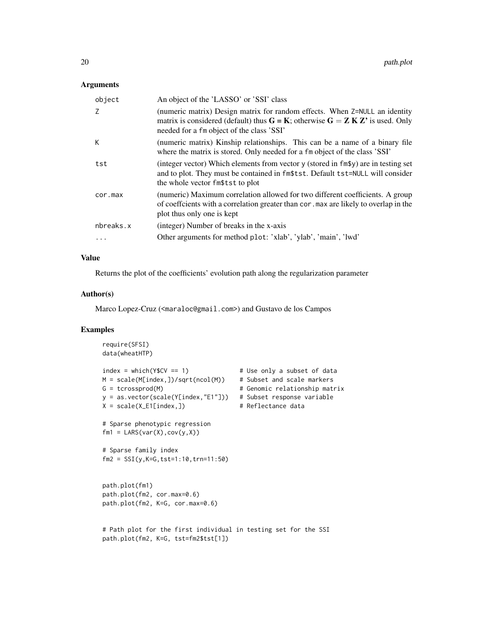# Arguments

| object    | An object of the 'LASSO' or 'SSI' class                                                                                                                                                                           |
|-----------|-------------------------------------------------------------------------------------------------------------------------------------------------------------------------------------------------------------------|
| 7         | (numeric matrix) Design matrix for random effects. When $Z = NULL$ an identity<br>matrix is considered (default) thus $G = K$ ; otherwise $G = Z K Z'$ is used. Only<br>needed for a fm object of the class 'SSI' |
| К         | (numeric matrix) Kinship relationships. This can be a name of a binary file<br>where the matrix is stored. Only needed for a fm object of the class 'SSI'                                                         |
| tst       | (integer vector) Which elements from vector y (stored in fm\$y) are in testing set<br>and to plot. They must be contained in fm\$tst. Default tst=NULL will consider<br>the whole vector fm\$tst to plot          |
| cor.max   | (numeric) Maximum correlation allowed for two different coefficients. A group<br>of coeffcients with a correlation greater than cor. max are likely to overlap in the<br>plot thus only one is kept               |
| nbreaks.x | (integer) Number of breaks in the x-axis                                                                                                                                                                          |
|           | Other arguments for method plot: 'xlab', 'ylab', 'main', 'lwd'                                                                                                                                                    |
|           |                                                                                                                                                                                                                   |

# Value

Returns the plot of the coefficients' evolution path along the regularization parameter

# Author(s)

Marco Lopez-Cruz (<maraloc@gmail.com>) and Gustavo de los Campos

# Examples

```
require(SFSI)
data(wheatHTP)
index = which(Y$CV == 1) # Use only a subset of data
M = scale(M[index,])/sqrt(ncol(M)) # Subset and scale markers
G = tcrossprod(M) # Genomic relationship matrix
y = as.vector(scale(Y[index,"E1"])) # Subset response variable
X = scale(X_E1[index,]) # Reflectance data
# Sparse phenotypic regression
fm1 = LARS(var(X), cov(y, X))# Sparse family index
fm2 = SSI(y,K=G,tst=1:10,trn=11:50)
path.plot(fm1)
path.plot(fm2, cor.max=0.6)
path.plot(fm2, K=G, cor.max=0.6)
# Path plot for the first individual in testing set for the SSI
path.plot(fm2, K=G, tst=fm2$tst[1])
```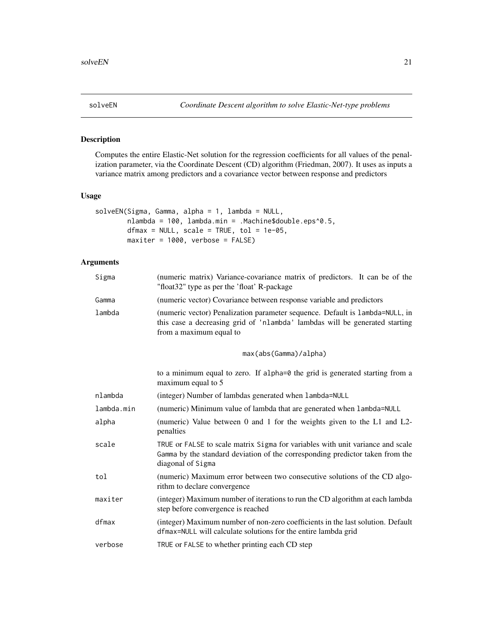<span id="page-20-0"></span>

# Description

Computes the entire Elastic-Net solution for the regression coefficients for all values of the penalization parameter, via the Coordinate Descent (CD) algorithm (Friedman, 2007). It uses as inputs a variance matrix among predictors and a covariance vector between response and predictors

# Usage

```
solveEN(Sigma, Gamma, alpha = 1, lambda = NULL,
       nlambda = 100, lambda.min = .Machine$double.eps^0.5,
       dfmax = NULL, scale = TRUE, tol = 1e-05,
       maxiter = 1000, verbose = FALSE)
```
# Arguments

| Sigma  | (numeric matrix) Variance-covariance matrix of predictors. It can be of the<br>"float32" type as per the 'float' R-package                                                              |
|--------|-----------------------------------------------------------------------------------------------------------------------------------------------------------------------------------------|
| Gamma  | (numeric vector) Covariance between response variable and predictors                                                                                                                    |
| lambda | (numeric vector) Penalization parameter sequence. Default is 1 ambda=NULL, in<br>this case a decreasing grid of 'nlambda' lambdas will be generated starting<br>from a maximum equal to |

max(abs(Gamma)/alpha)

|            | to a minimum equal to zero. If alpha=0 the grid is generated starting from a<br>maximum equal to 5                                                                                   |
|------------|--------------------------------------------------------------------------------------------------------------------------------------------------------------------------------------|
| nlambda    | (integer) Number of lambdas generated when lambda=NULL                                                                                                                               |
| lambda.min | (numeric) Minimum value of lambda that are generated when lambda=NULL                                                                                                                |
| alpha      | (numeric) Value between 0 and 1 for the weights given to the L1 and L2-<br>penalties                                                                                                 |
| scale      | TRUE or FALSE to scale matrix Sigma for variables with unit variance and scale<br>Gamma by the standard deviation of the corresponding predictor taken from the<br>diagonal of Sigma |
| tol        | (numeric) Maximum error between two consecutive solutions of the CD algo-<br>rithm to declare convergence                                                                            |
| maxiter    | (integer) Maximum number of iterations to run the CD algorithm at each lambda<br>step before convergence is reached                                                                  |
| dfmax      | (integer) Maximum number of non-zero coefficients in the last solution. Default<br>dfmax=NULL will calculate solutions for the entire lambda grid                                    |
| verbose    | TRUE or FALSE to whether printing each CD step                                                                                                                                       |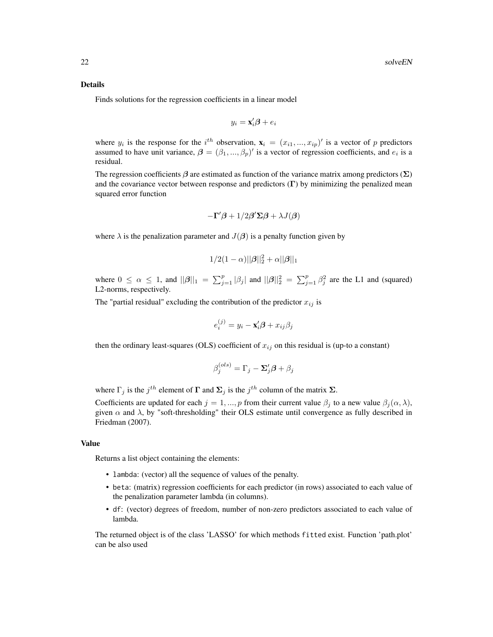#### Details

Finds solutions for the regression coefficients in a linear model

$$
y_i = \mathbf{x}_i'\boldsymbol{\beta} + e_i
$$

where  $y_i$  is the response for the i<sup>th</sup> observation,  $\mathbf{x}_i = (x_{i1},...,x_{ip})'$  is a vector of p predictors assumed to have unit variance,  $\boldsymbol{\beta} = (\beta_1, ..., \beta_p)'$  is a vector of regression coefficients, and  $e_i$  is a residual.

The regression coefficients  $\beta$  are estimated as function of the variance matrix among predictors ( $\Sigma$ ) and the covariance vector between response and predictors  $(\Gamma)$  by minimizing the penalized mean squared error function

$$
-\Gamma'\beta + 1/2\beta'\Sigma\beta + \lambda J(\beta)
$$

where  $\lambda$  is the penalization parameter and  $J(\beta)$  is a penalty function given by

$$
1/2(1-\alpha)||\boldsymbol{\beta}||_2^2+\alpha||\boldsymbol{\beta}||_1
$$

where  $0 \le \alpha \le 1$ , and  $||\boldsymbol{\beta}||_1 = \sum_{j=1}^p |\beta_j|$  and  $||\boldsymbol{\beta}||_2^2 = \sum_{j=1}^p \beta_j^2$  are the L1 and (squared) L2-norms, respectively.

The "partial residual" excluding the contribution of the predictor  $x_{ij}$  is

$$
e_i^{(j)} = y_i - \mathbf{x}_i' \boldsymbol{\beta} + x_{ij} \beta_j
$$

then the ordinary least-squares (OLS) coefficient of  $x_{ij}$  on this residual is (up-to a constant)

$$
\beta_j^{(ols)} = \Gamma_j - \Sigma_j' \boldsymbol{\beta} + \beta_j
$$

where  $\Gamma_j$  is the  $j^{th}$  element of  $\Gamma$  and  $\Sigma_j$  is the  $j^{th}$  column of the matrix  $\Sigma$ .

Coefficients are updated for each  $j = 1, ..., p$  from their current value  $\beta_j$  to a new value  $\beta_j(\alpha, \lambda)$ , given  $\alpha$  and  $\lambda$ , by "soft-thresholding" their OLS estimate until convergence as fully described in Friedman (2007).

# Value

Returns a list object containing the elements:

- lambda: (vector) all the sequence of values of the penalty.
- beta: (matrix) regression coefficients for each predictor (in rows) associated to each value of the penalization parameter lambda (in columns).
- df: (vector) degrees of freedom, number of non-zero predictors associated to each value of lambda.

The returned object is of the class 'LASSO' for which methods fitted exist. Function 'path.plot' can be also used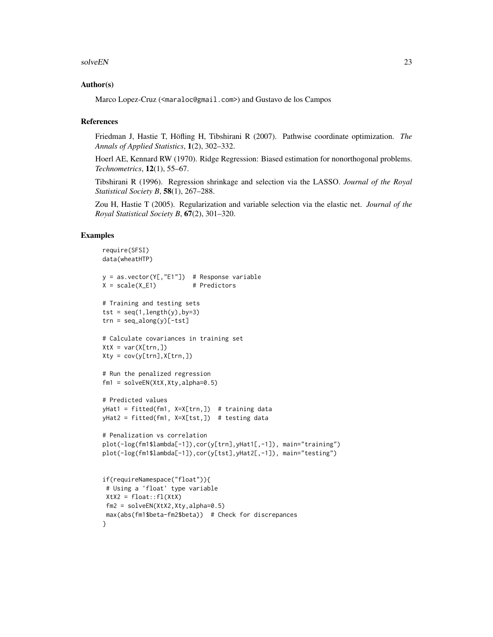## solveEN 23

# Author(s)

Marco Lopez-Cruz (<maraloc@gmail.com>) and Gustavo de los Campos

# References

Friedman J, Hastie T, Höfling H, Tibshirani R (2007). Pathwise coordinate optimization. *The Annals of Applied Statistics*, 1(2), 302–332.

Hoerl AE, Kennard RW (1970). Ridge Regression: Biased estimation for nonorthogonal problems. *Technometrics*, 12(1), 55–67.

Tibshirani R (1996). Regression shrinkage and selection via the LASSO. *Journal of the Royal Statistical Society B*, 58(1), 267–288.

Zou H, Hastie T (2005). Regularization and variable selection via the elastic net. *Journal of the Royal Statistical Society B*, 67(2), 301–320.

# Examples

```
require(SFSI)
data(wheatHTP)
y = as.vector(Y[,"E1"]) # Response variable
X = scale(X_E1) # Predictors
# Training and testing sets
tst = seq(1, length(y), by=3)trn = seq_along(y)[-tst]
# Calculate covariances in training set
XtX = var(X[trn,])Xty = cov(y[trn], X[trn,])# Run the penalized regression
fm1 = solveEN(XtX,Xty,alpha=0.5)
# Predicted values
yHat1 = fitted(fm1, X=X[trn,]) # training data
yHat2 = fitted(fm1, X=X[tst,]) # testing data
# Penalization vs correlation
plot(-log(fm1$lambda[-1]),cor(y[trn],yHat1[,-1]), main="training")
plot(-log(fm1$lambda[-1]),cor(y[tst],yHat2[,-1]), main="testing")
if(requireNamespace("float")){
 # Using a 'float' type variable
 Xtx2 = float::f1(Xtx)fm2 = solveEN(XtX2, Xty, alpha=0.5)max(abs(fm1$beta-fm2$beta)) # Check for discrepances
}
```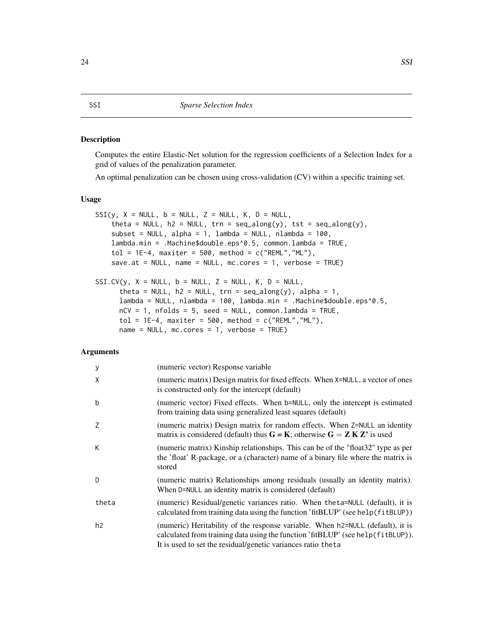# <span id="page-23-0"></span>Description

Computes the entire Elastic-Net solution for the regression coefficients of a Selection Index for a grid of values of the penalization parameter.

An optimal penalization can be chosen using cross-validation (CV) within a specific training set.

# Usage

```
SSI(y, X = NULL, b = NULL, Z = NULL, K, D = NULL,theta = NULL, h2 = NULL, trn = seq\_along(y), tst = seq\_along(y),
   subset = NULL, alpha = 1, lambda = NULL, nlambda = 100,
   lambda.min = .Machine$double.eps^0.5, common.lambda = TRUE,
   tol = 1E-4, maxiter = 500, method = c("REML", "ML"),
   save.at = NULL, name = NULL, mc.cores = 1, verbose = TRUE)
SSI.CV(y, X = NULL, b = NULL, Z = NULL, K, D = NULL,
```

```
theta = NULL, h2 = NULL, trn = seq_along(y), alpha = 1,
lambda = NULL, nlambda = 100, lambda.min = .Machine$double.eps^0.5,
nCV = 1, nfolds = 5, seed = NULL, commonu, lambda = TRUE,
tol = 1E-4, maxiter = 500, method = c("REML", "ML"),
name = NULL, mc.core = 1, verbose = TRUE)
```
# **Arguments**

| y     | (numeric vector) Response variable                                                                                                                                                                                                |
|-------|-----------------------------------------------------------------------------------------------------------------------------------------------------------------------------------------------------------------------------------|
| χ     | (numeric matrix) Design matrix for fixed effects. When X=NULL, a vector of ones<br>is constructed only for the intercept (default)                                                                                                |
| b     | (numeric vector) Fixed effects. When b=NULL, only the intercept is estimated<br>from training data using generalized least squares (default)                                                                                      |
| Z     | (numeric matrix) Design matrix for random effects. When $Z = NULL$ an identity<br>matrix is considered (default) thus $G = K$ ; otherwise $G = Z K Z'$ is used                                                                    |
| K.    | (numeric matrix) Kinship relationships. This can be of the "float32" type as per<br>the 'float' R-package, or a (character) name of a binary file where the matrix is<br>stored                                                   |
| D     | (numeric matrix) Relationships among residuals (usually an identity matrix).<br>When D=NULL an identity matrix is considered (default)                                                                                            |
| theta | (numeric) Residual/genetic variances ratio. When the ta=NULL (default), it is<br>calculated from training data using the function 'fitBLUP' (see help(fitBLUP))                                                                   |
| h2    | (numeric) Heritability of the response variable. When h2=NULL (default), it is<br>calculated from training data using the function 'fitBLUP' (see help(fitBLUP)).<br>It is used to set the residual/genetic variances ratio theta |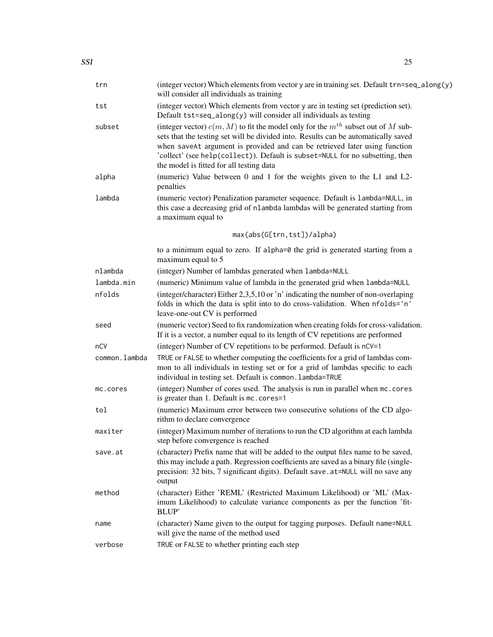| trn           | (integer vector) Which elements from vector y are in training set. Default trn=seq_along(y)<br>will consider all individuals as training                                                                                                                                                                                                                                                |
|---------------|-----------------------------------------------------------------------------------------------------------------------------------------------------------------------------------------------------------------------------------------------------------------------------------------------------------------------------------------------------------------------------------------|
| tst           | (integer vector) Which elements from vector y are in testing set (prediction set).<br>Default tst=seq_along(y) will consider all individuals as testing                                                                                                                                                                                                                                 |
| subset        | (integer vector) $c(m, M)$ to fit the model only for the $m^{th}$ subset out of M sub-<br>sets that the testing set will be divided into. Results can be automatically saved<br>when saveAt argument is provided and can be retrieved later using function<br>'collect' (see help(collect)). Default is subset=NULL for no subsetting, then<br>the model is fitted for all testing data |
| alpha         | (numeric) Value between 0 and 1 for the weights given to the L1 and L2-<br>penalties                                                                                                                                                                                                                                                                                                    |
| lambda        | (numeric vector) Penalization parameter sequence. Default is lambda=NULL, in<br>this case a decreasing grid of nlambda lambdas will be generated starting from<br>a maximum equal to                                                                                                                                                                                                    |
|               | max(abs(G[trn,tst])/alpha)                                                                                                                                                                                                                                                                                                                                                              |
|               | to a minimum equal to zero. If alpha=0 the grid is generated starting from a<br>maximum equal to 5                                                                                                                                                                                                                                                                                      |
| nlambda       | (integer) Number of lambdas generated when lambda=NULL                                                                                                                                                                                                                                                                                                                                  |
| lambda.min    | (numeric) Minimum value of lambda in the generated grid when lambda=NULL                                                                                                                                                                                                                                                                                                                |
| nfolds        | (integer/character) Either 2,3,5,10 or 'n' indicating the number of non-overlaping<br>folds in which the data is split into to do cross-validation. When nfolds='n'<br>leave-one-out CV is performed                                                                                                                                                                                    |
| seed          | (numeric vector) Seed to fix randomization when creating folds for cross-validation.<br>If it is a vector, a number equal to its length of CV repetitions are performed                                                                                                                                                                                                                 |
| nCV           | (integer) Number of CV repetitions to be performed. Default is nCV=1                                                                                                                                                                                                                                                                                                                    |
| common.lambda | TRUE or FALSE to whether computing the coefficients for a grid of lambdas com-<br>mon to all individuals in testing set or for a grid of lambdas specific to each<br>individual in testing set. Default is common. lambda=TRUE                                                                                                                                                          |
| mc.cores      | (integer) Number of cores used. The analysis is run in parallel when mc. cores<br>is greater than 1. Default is mc. cores=1                                                                                                                                                                                                                                                             |
| tol           | (numeric) Maximum error between two consecutive solutions of the CD algo-<br>rithm to declare convergence                                                                                                                                                                                                                                                                               |
| maxiter       | (integer) Maximum number of iterations to run the CD algorithm at each lambda<br>step before convergence is reached                                                                                                                                                                                                                                                                     |
| save.at       | (character) Prefix name that will be added to the output files name to be saved,<br>this may include a path. Regression coefficients are saved as a binary file (single-<br>precision: 32 bits, 7 significant digits). Default save.at=NULL will no save any<br>output                                                                                                                  |
| method        | (character) Either 'REML' (Restricted Maximum Likelihood) or 'ML' (Max-<br>imum Likelihood) to calculate variance components as per the function 'fit-<br>BLUP'                                                                                                                                                                                                                         |
| name          | (character) Name given to the output for tagging purposes. Default name=NULL<br>will give the name of the method used                                                                                                                                                                                                                                                                   |
| verbose       | TRUE or FALSE to whether printing each step                                                                                                                                                                                                                                                                                                                                             |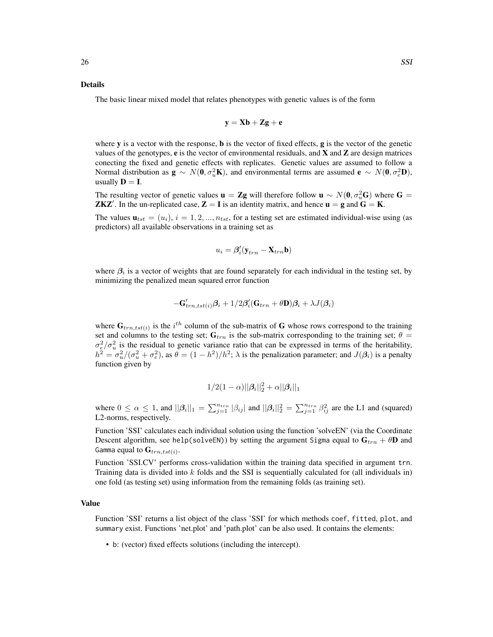### Details

The basic linear mixed model that relates phenotypes with genetic values is of the form

$$
y = Xb + Zg + e
$$

where y is a vector with the response, **b** is the vector of fixed effects, **g** is the vector of the genetic values of the genotypes,  $e$  is the vector of environmental residuals, and **X** and **Z** are design matrices conecting the fixed and genetic effects with replicates. Genetic values are assumed to follow a Normal distribution as  $\mathbf{g} \sim N(\mathbf{0}, \sigma_u^2 \mathbf{K})$ , and environmental terms are assumed  $\mathbf{e} \sim N(\mathbf{0}, \sigma_e^2 \mathbf{D})$ , usually  $D = I$ .

The resulting vector of genetic values  $\mathbf{u} = \mathbf{Z} \mathbf{g}$  will therefore follow  $\mathbf{u} \sim N(\mathbf{0}, \sigma_u^2 \mathbf{G})$  where  $\mathbf{G} =$ **ZKZ'**. In the un-replicated case,  $\mathbf{Z} = \mathbf{I}$  is an identity matrix, and hence  $\mathbf{u} = \mathbf{g}$  and  $\mathbf{G} = \mathbf{K}$ .

The values  $\mathbf{u}_{tst} = (u_i)$ ,  $i = 1, 2, ..., n_{tst}$ , for a testing set are estimated individual-wise using (as predictors) all available observations in a training set as

$$
u_i = \pmb{\beta}_i' (\mathbf{y}_{trn} - \mathbf{X}_{trn} \mathbf{b})
$$

where  $\beta_i$  is a vector of weights that are found separately for each individual in the testing set, by minimizing the penalized mean squared error function

$$
-\mathbf{G}_{trn, tst(i)}' \boldsymbol{\beta}_i + 1/2 \boldsymbol{\beta}_i' (\mathbf{G}_{trn} + \theta \mathbf{D}) \boldsymbol{\beta}_i + \lambda J(\boldsymbol{\beta}_i)
$$

where  $G_{trn, tst(i)}$  is the i<sup>th</sup> column of the sub-matrix of G whose rows correspond to the training set and columns to the testing set;  $G_{trn}$  is the sub-matrix corresponding to the training set;  $\theta$  =  $\sigma_e^2/\sigma_u^2$  is the residual to genetic variance ratio that can be expressed in terms of the heritability,  $h^2 = \sigma_u^2/(\sigma_u^2 + \sigma_e^2)$ , as  $\theta = (1 - h^2)/h^2$ ;  $\lambda$  is the penalization parameter; and  $J(\beta_i)$  is a penalty function given by

$$
1/2(1-\alpha)||\boldsymbol{\beta}_i||_2^2 + \alpha||\boldsymbol{\beta}_i||_1
$$

where  $0 \le \alpha \le 1$ , and  $||\beta_i||_1 = \sum_{j=1}^{n_{trn}} |\beta_{ij}|$  and  $||\beta_i||_2^2 = \sum_{j=1}^{n_{trn}} \beta_{ij}^2$  are the L1 and (squared) L2-norms, respectively.

Function 'SSI' calculates each individual solution using the function 'solveEN' (via the Coordinate Descent algorithm, see help(solveEN)) by setting the argument Sigma equal to  $G_{trn} + \theta D$  and Gamma equal to  $\mathbf{G}_{trn, tst(i)}.$ 

Function 'SSI.CV' performs cross-validation within the training data specified in argument trn. Training data is divided into  $k$  folds and the SSI is sequentially calculated for (all individuals in) one fold (as testing set) using information from the remaining folds (as training set).

# Value

Function 'SSI' returns a list object of the class 'SSI' for which methods coef, fitted, plot, and summary exist. Functions 'net.plot' and 'path.plot' can be also used. It contains the elements:

• b: (vector) fixed effects solutions (including the intercept).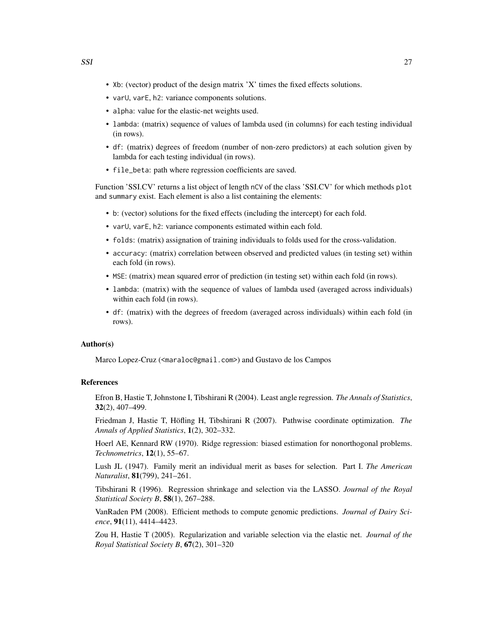- Xb: (vector) product of the design matrix 'X' times the fixed effects solutions.
- varU, varE, h2: variance components solutions.
- alpha: value for the elastic-net weights used.
- lambda: (matrix) sequence of values of lambda used (in columns) for each testing individual (in rows).
- df: (matrix) degrees of freedom (number of non-zero predictors) at each solution given by lambda for each testing individual (in rows).
- file\_beta: path where regression coefficients are saved.

Function 'SSI.CV' returns a list object of length nCV of the class 'SSI.CV' for which methods plot and summary exist. Each element is also a list containing the elements:

- b: (vector) solutions for the fixed effects (including the intercept) for each fold.
- varU, varE, h2: variance components estimated within each fold.
- folds: (matrix) assignation of training individuals to folds used for the cross-validation.
- accuracy: (matrix) correlation between observed and predicted values (in testing set) within each fold (in rows).
- MSE: (matrix) mean squared error of prediction (in testing set) within each fold (in rows).
- lambda: (matrix) with the sequence of values of lambda used (averaged across individuals) within each fold (in rows).
- df: (matrix) with the degrees of freedom (averaged across individuals) within each fold (in rows).

# Author(s)

Marco Lopez-Cruz (<maraloc@gmail.com>) and Gustavo de los Campos

# References

Efron B, Hastie T, Johnstone I, Tibshirani R (2004). Least angle regression. *The Annals of Statistics*, 32(2), 407–499.

Friedman J, Hastie T, Höfling H, Tibshirani R (2007). Pathwise coordinate optimization. *The Annals of Applied Statistics*, 1(2), 302–332.

Hoerl AE, Kennard RW (1970). Ridge regression: biased estimation for nonorthogonal problems. *Technometrics*, 12(1), 55–67.

Lush JL (1947). Family merit an individual merit as bases for selection. Part I. *The American Naturalist*, 81(799), 241–261.

Tibshirani R (1996). Regression shrinkage and selection via the LASSO. *Journal of the Royal Statistical Society B*, 58(1), 267–288.

VanRaden PM (2008). Efficient methods to compute genomic predictions. *Journal of Dairy Science*, 91(11), 4414–4423.

Zou H, Hastie T (2005). Regularization and variable selection via the elastic net. *Journal of the Royal Statistical Society B*, 67(2), 301–320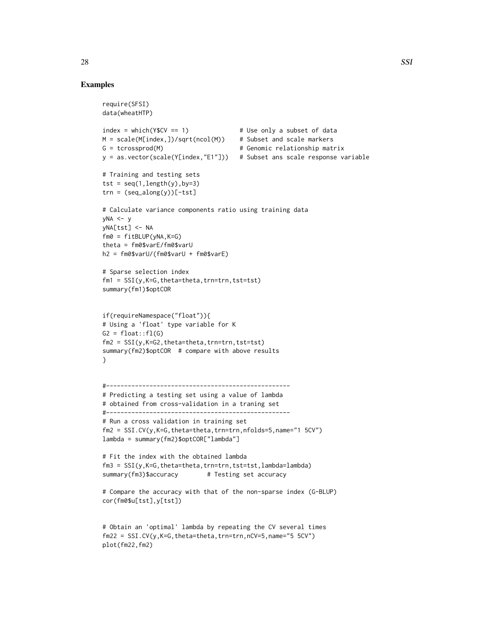# Examples

require(SFSI)

```
data(wheatHTP)
index = which(Y$CV == 1) # Use only a subset of data
M = scale(M[index,])/sqrt(ncol(M)) # Subset and scale markers
G = tcrossprod(M) \qquad # Genomic relationship matrix
y = as.vector(scale(Y[index,"E1"])) # Subset ans scale response variable
# Training and testing sets
tst = seq(1, length(y), by=3)trn = (seq\_along(y))[-tst]# Calculate variance components ratio using training data
vNA \le vyNA[tst] <- NA
fm0 = fitBLUP(yNA,K=G)
theta = fm0$varE/fm0$varU
h2 = fm0$varU/(fm0$varU + fm0$varE)
# Sparse selection index
fm1 = SST(y,K=G,theta=theta,trn=trn,tst=tst)summary(fm1)$optCOR
if(requireNamespace("float")){
# Using a 'float' type variable for K
G2 = float::f1(G)fm2 = SSI(y,K=G2,theta=theta,trn=trn,tst=tst)summary(fm2)$optCOR # compare with above results
}
#---------------------------------------------------
# Predicting a testing set using a value of lambda
# obtained from cross-validation in a traning set
#---------------------------------------------------
# Run a cross validation in training set
fm2 = SSI.CV(y,K=G,theta=theta,trn=trn,nfolds=5,name="1 5CV")
lambda = summary(fm2)$optCOR["lambda"]
# Fit the index with the obtained lambda
fm3 = SSI(y,K=G,theta=theta,trn=trn,tst=tst,lambda=lambda)
summary(fm3)$accuracy # Testing set accuracy
# Compare the accuracy with that of the non-sparse index (G-BLUP)
cor(fm0$u[tst],y[tst])
# Obtain an 'optimal' lambda by repeating the CV several times
fm22 = SSI.CV(y,K=G,theta=theta,trn=trn,nCV=5,name="5 5CV")
```

```
plot(fm22,fm2)
```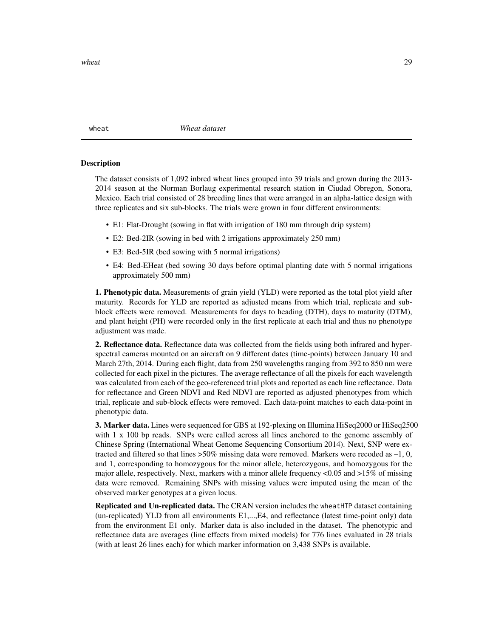<span id="page-28-0"></span>wheat *Wheat dataset*

# Description

The dataset consists of 1,092 inbred wheat lines grouped into 39 trials and grown during the 2013- 2014 season at the Norman Borlaug experimental research station in Ciudad Obregon, Sonora, Mexico. Each trial consisted of 28 breeding lines that were arranged in an alpha-lattice design with three replicates and six sub-blocks. The trials were grown in four different environments:

- E1: Flat-Drought (sowing in flat with irrigation of 180 mm through drip system)
- E2: Bed-2IR (sowing in bed with 2 irrigations approximately 250 mm)
- E3: Bed-5IR (bed sowing with 5 normal irrigations)
- E4: Bed-EHeat (bed sowing 30 days before optimal planting date with 5 normal irrigations approximately 500 mm)

1. Phenotypic data. Measurements of grain yield (YLD) were reported as the total plot yield after maturity. Records for YLD are reported as adjusted means from which trial, replicate and subblock effects were removed. Measurements for days to heading (DTH), days to maturity (DTM), and plant height (PH) were recorded only in the first replicate at each trial and thus no phenotype adjustment was made.

2. Reflectance data. Reflectance data was collected from the fields using both infrared and hyperspectral cameras mounted on an aircraft on 9 different dates (time-points) between January 10 and March 27th, 2014. During each flight, data from 250 wavelengths ranging from 392 to 850 nm were collected for each pixel in the pictures. The average reflectance of all the pixels for each wavelength was calculated from each of the geo-referenced trial plots and reported as each line reflectance. Data for reflectance and Green NDVI and Red NDVI are reported as adjusted phenotypes from which trial, replicate and sub-block effects were removed. Each data-point matches to each data-point in phenotypic data.

**3. Marker data.** Lines were sequenced for GBS at 192-plexing on Illumina HiSeq2000 or HiSeq2500 with 1 x 100 bp reads. SNPs were called across all lines anchored to the genome assembly of Chinese Spring (International Wheat Genome Sequencing Consortium 2014). Next, SNP were extracted and filtered so that lines  $>50\%$  missing data were removed. Markers were recoded as  $-1, 0$ , and 1, corresponding to homozygous for the minor allele, heterozygous, and homozygous for the major allele, respectively. Next, markers with a minor allele frequency <0.05 and >15% of missing data were removed. Remaining SNPs with missing values were imputed using the mean of the observed marker genotypes at a given locus.

Replicated and Un-replicated data. The CRAN version includes the wheatHTP dataset containing (un-replicated) YLD from all environments E1,...,E4, and reflectance (latest time-point only) data from the environment E1 only. Marker data is also included in the dataset. The phenotypic and reflectance data are averages (line effects from mixed models) for 776 lines evaluated in 28 trials (with at least 26 lines each) for which marker information on 3,438 SNPs is available.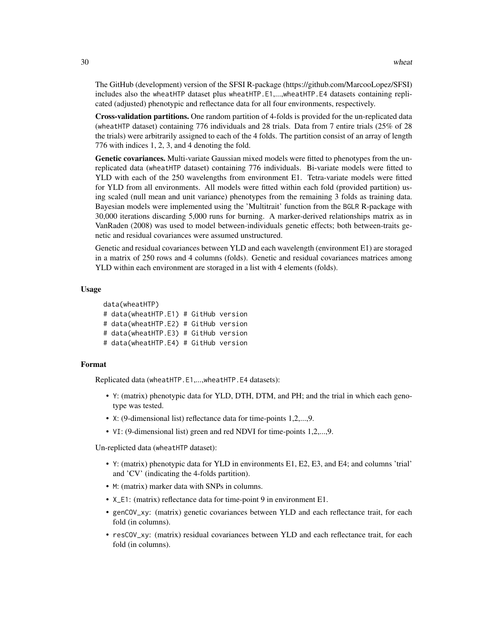The GitHub (development) version of the SFSI R-package (https://github.com/MarcooLopez/SFSI) includes also the wheatHTP dataset plus wheatHTP.E1,...,wheatHTP.E4 datasets containing replicated (adjusted) phenotypic and reflectance data for all four environments, respectively.

Cross-validation partitions. One random partition of 4-folds is provided for the un-replicated data (wheatHTP dataset) containing 776 individuals and 28 trials. Data from 7 entire trials (25% of 28 the trials) were arbitrarily assigned to each of the 4 folds. The partition consist of an array of length 776 with indices 1, 2, 3, and 4 denoting the fold.

Genetic covariances. Multi-variate Gaussian mixed models were fitted to phenotypes from the unreplicated data (wheatHTP dataset) containing 776 individuals. Bi-variate models were fitted to YLD with each of the 250 wavelengths from environment E1. Tetra-variate models were fitted for YLD from all environments. All models were fitted within each fold (provided partition) using scaled (null mean and unit variance) phenotypes from the remaining 3 folds as training data. Bayesian models were implemented using the 'Multitrait' function from the BGLR R-package with 30,000 iterations discarding 5,000 runs for burning. A marker-derived relationships matrix as in VanRaden (2008) was used to model between-individuals genetic effects; both between-traits genetic and residual covariances were assumed unstructured.

Genetic and residual covariances between YLD and each wavelength (environment E1) are storaged in a matrix of 250 rows and 4 columns (folds). Genetic and residual covariances matrices among YLD within each environment are storaged in a list with 4 elements (folds).

#### Usage

```
data(wheatHTP)
# data(wheatHTP.E1) # GitHub version
# data(wheatHTP.E2) # GitHub version
# data(wheatHTP.E3) # GitHub version
# data(wheatHTP.E4) # GitHub version
```
#### Format

Replicated data (wheatHTP.E1,...,wheatHTP.E4 datasets):

- Y: (matrix) phenotypic data for YLD, DTH, DTM, and PH; and the trial in which each genotype was tested.
- X: (9-dimensional list) reflectance data for time-points 1,2,...,9.
- VI: (9-dimensional list) green and red NDVI for time-points 1,2,...,9.

Un-replicted data (wheatHTP dataset):

- Y: (matrix) phenotypic data for YLD in environments E1, E2, E3, and E4; and columns 'trial' and 'CV' (indicating the 4-folds partition).
- M: (matrix) marker data with SNPs in columns.
- X\_E1: (matrix) reflectance data for time-point 9 in environment E1.
- genCOV\_xy: (matrix) genetic covariances between YLD and each reflectance trait, for each fold (in columns).
- resCOV\_xy: (matrix) residual covariances between YLD and each reflectance trait, for each fold (in columns).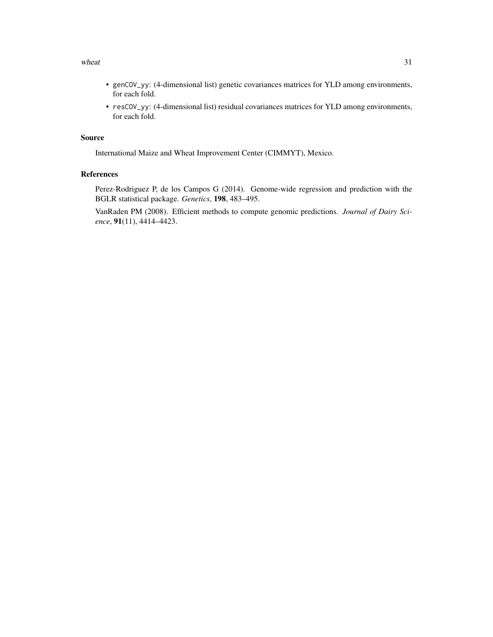### wheat  $31$

- genCOV\_yy: (4-dimensional list) genetic covariances matrices for YLD among environments, for each fold.
- resCOV\_yy: (4-dimensional list) residual covariances matrices for YLD among environments, for each fold.

# Source

International Maize and Wheat Improvement Center (CIMMYT), Mexico.

# References

Perez-Rodriguez P, de los Campos G (2014). Genome-wide regression and prediction with the BGLR statistical package. *Genetics*, 198, 483–495.

VanRaden PM (2008). Efficient methods to compute genomic predictions. *Journal of Dairy Science*, 91(11), 4414–4423.